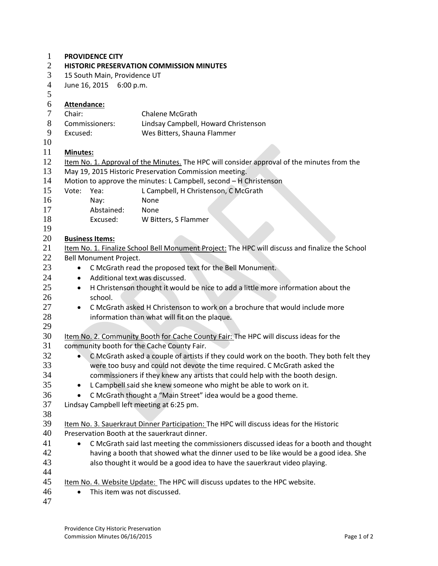| $\mathbf{1}$   | <b>PROVIDENCE CITY</b>                                                                                |                                                                              |                                                                            |  |  |
|----------------|-------------------------------------------------------------------------------------------------------|------------------------------------------------------------------------------|----------------------------------------------------------------------------|--|--|
| 2              | <b>HISTORIC PRESERVATION COMMISSION MINUTES</b>                                                       |                                                                              |                                                                            |  |  |
| 3              | 15 South Main, Providence UT                                                                          |                                                                              |                                                                            |  |  |
| $\overline{4}$ | June 16, 2015 6:00 p.m.                                                                               |                                                                              |                                                                            |  |  |
| 5              |                                                                                                       |                                                                              |                                                                            |  |  |
| 6              | Attendance:                                                                                           |                                                                              |                                                                            |  |  |
| $\tau$         | Chair:                                                                                                |                                                                              | <b>Chalene McGrath</b>                                                     |  |  |
| 8              | Commissioners:                                                                                        |                                                                              | Lindsay Campbell, Howard Christenson                                       |  |  |
| 9              | Excused:                                                                                              |                                                                              | Wes Bitters, Shauna Flammer                                                |  |  |
| 10             |                                                                                                       |                                                                              |                                                                            |  |  |
| 11             | <b>Minutes:</b>                                                                                       |                                                                              |                                                                            |  |  |
| 12             | Item No. 1. Approval of the Minutes. The HPC will consider approval of the minutes from the           |                                                                              |                                                                            |  |  |
| 13             | May 19, 2015 Historic Preservation Commission meeting.                                                |                                                                              |                                                                            |  |  |
| 14             |                                                                                                       |                                                                              | Motion to approve the minutes: L Campbell, second - H Christenson          |  |  |
| 15             | Vote:                                                                                                 | Yea:                                                                         | L Campbell, H Christenson, C McGrath                                       |  |  |
| 16             |                                                                                                       | Nay:                                                                         | None                                                                       |  |  |
| 17             |                                                                                                       | Abstained:                                                                   | None                                                                       |  |  |
| 18             |                                                                                                       | Excused:                                                                     | W Bitters, S Flammer                                                       |  |  |
| 19             |                                                                                                       |                                                                              |                                                                            |  |  |
| 20             |                                                                                                       | <b>Business Items:</b>                                                       |                                                                            |  |  |
| 21             | Item No. 1. Finalize School Bell Monument Project: The HPC will discuss and finalize the School       |                                                                              |                                                                            |  |  |
| 22             | Bell Monument Project.                                                                                |                                                                              |                                                                            |  |  |
| 23             | C McGrath read the proposed text for the Bell Monument.<br>$\bullet$                                  |                                                                              |                                                                            |  |  |
| 24             | Additional text was discussed.<br>٠                                                                   |                                                                              |                                                                            |  |  |
| 25             | H Christenson thought it would be nice to add a little more information about the<br>$\bullet$        |                                                                              |                                                                            |  |  |
| 26             | school.                                                                                               |                                                                              |                                                                            |  |  |
| 27             | C McGrath asked H Christenson to work on a brochure that would include more<br>$\bullet$              |                                                                              |                                                                            |  |  |
| 28             | information than what will fit on the plaque.                                                         |                                                                              |                                                                            |  |  |
| 29             |                                                                                                       |                                                                              |                                                                            |  |  |
| 30             | Item No. 2. Community Booth for Cache County Fair: The HPC will discuss ideas for the                 |                                                                              |                                                                            |  |  |
| 31             | community booth for the Cache County Fair.                                                            |                                                                              |                                                                            |  |  |
| 32             | C McGrath asked a couple of artists if they could work on the booth. They both felt they<br>$\bullet$ |                                                                              |                                                                            |  |  |
| 33             | were too busy and could not devote the time required. C McGrath asked the                             |                                                                              |                                                                            |  |  |
| 34             | commissioners if they knew any artists that could help with the booth design.                         |                                                                              |                                                                            |  |  |
| 35             | L Campbell said she knew someone who might be able to work on it.                                     |                                                                              |                                                                            |  |  |
| 36             | C McGrath thought a "Main Street" idea would be a good theme.<br>$\bullet$                            |                                                                              |                                                                            |  |  |
| 37             | Lindsay Campbell left meeting at 6:25 pm.                                                             |                                                                              |                                                                            |  |  |
| 38             |                                                                                                       |                                                                              |                                                                            |  |  |
| 39             | Item No. 3. Sauerkraut Dinner Participation: The HPC will discuss ideas for the Historic              |                                                                              |                                                                            |  |  |
| 40             | Preservation Booth at the sauerkraut dinner.                                                          |                                                                              |                                                                            |  |  |
| 41             | C McGrath said last meeting the commissioners discussed ideas for a booth and thought<br>$\bullet$    |                                                                              |                                                                            |  |  |
| 42             | having a booth that showed what the dinner used to be like would be a good idea. She                  |                                                                              |                                                                            |  |  |
| 43             |                                                                                                       |                                                                              | also thought it would be a good idea to have the sauerkraut video playing. |  |  |
| 44             |                                                                                                       |                                                                              |                                                                            |  |  |
| 45             |                                                                                                       | Item No. 4. Website Update: The HPC will discuss updates to the HPC website. |                                                                            |  |  |
| 46             | $\bullet$                                                                                             |                                                                              | This item was not discussed.                                               |  |  |
| 47             |                                                                                                       |                                                                              |                                                                            |  |  |